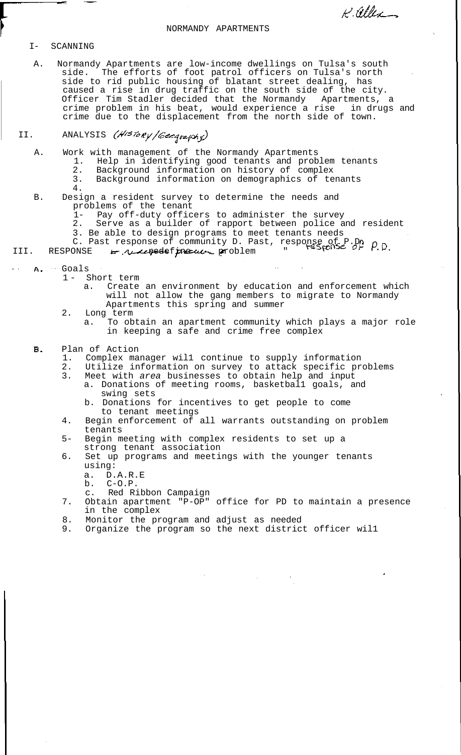### NORMANDY APARTMENTS

K. allea

### I- SCANNING

A. Normandy Apartments are low-income dwellings on Tulsa's south side. The efforts of foot patrol officers on Tulsa's north side to rid public housing of blatant street dealing, has caused a rise in drug traffic on the south side of the city. Officer Tim Stadler decided that the Normandy Apartments, a crime problem in his beat, would experience a rise in drugs and crime due to the displacement from the north side of town.

# II. ANALYSIS (History/Geography)

- A. Work with management of the Normandy Apartments
	- 1. Help in identifying good tenants and problem tenants
	- 2. Background information on history of complex
	- 3. Background information on demographics of tenants
- 4. B. Design a resident survey to determine the needs and problems of the tenant
	- 1- Pay off-duty officers to administer the survey
	- Serve as a builder of rapport between police and resident
	- 3. Be able to design programs to meet tenants needs
	- S. Be able to design programme to Past, response of P.P. P.D.<br>C. Past response of community D. Past, response of P.P. P.D.

III. RESPONSE <del>L</del>. *ALdespeede f problem* problem

- A. Goals
	- 1 Short term
		- a. Create an environment by education and enforcement which will not allow the gang members to migrate to Normandy Apartments this spring and summer
	- 2. Long term
		- a. To obtain an apartment community which plays a major role in keeping a safe and crime free complex

## Β. Plan of Action<br>1. Complex ma

- 1. Complex manager wil1 continue to supply information
- 2. Utilize information on survey to attack specific problems
- 3. Meet with area businesses to obtain help and input a. Donations of meeting rooms, basketbal1 goals, and swing sets
	- b. Donations for incentives to get people to come to tenant meetings
- 4. Begin enforcement of all warrants outstanding on problem tenants
- 5- Begin meeting with complex residents to set up a strong tenant association
- 6. Set up programs and meetings with the younger tenants using:
	- a. D.A.R.E
	- b.  $C-O.P.$
	- c. Red Ribbon Campaign
- 7. Obtain apartment "P-OP" office for PD to maintain a presence in the complex
- 8. Monitor the program and adjust as needed<br>9. Organize the program so the next district
- Organize the program so the next district officer will